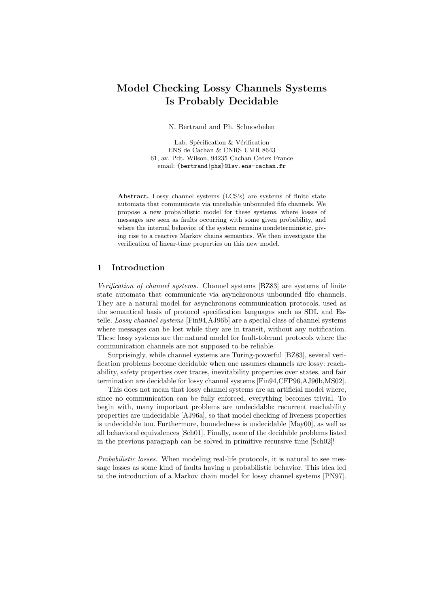# Model Checking Lossy Channels Systems Is Probably Decidable

N. Bertrand and Ph. Schnoebelen

Lab. Spécification & Vérification ENS de Cachan & CNRS UMR 8643 61, av. Pdt. Wilson, 94235 Cachan Cedex France email: {bertrand|phs}@lsv.ens-cachan.fr

Abstract. Lossy channel systems (LCS's) are systems of finite state automata that communicate via unreliable unbounded fifo channels. We propose a new probabilistic model for these systems, where losses of messages are seen as faults occurring with some given probability, and where the internal behavior of the system remains nondeterministic, giving rise to a reactive Markov chains semantics. We then investigate the verification of linear-time properties on this new model.

## 1 Introduction

Verification of channel systems. Channel systems [BZ83] are systems of finite state automata that communicate via asynchronous unbounded fifo channels. They are a natural model for asynchronous communication protocols, used as the semantical basis of protocol specification languages such as SDL and Estelle. Lossy channel systems [Fin94,AJ96b] are a special class of channel systems where messages can be lost while they are in transit, without any notification. These lossy systems are the natural model for fault-tolerant protocols where the communication channels are not supposed to be reliable.

Surprisingly, while channel systems are Turing-powerful [BZ83], several verification problems become decidable when one assumes channels are lossy: reachability, safety properties over traces, inevitability properties over states, and fair termination are decidable for lossy channel systems [Fin94,CFP96,AJ96b,MS02].

This does not mean that lossy channel systems are an artificial model where, since no communication can be fully enforced, everything becomes trivial. To begin with, many important problems are undecidable: recurrent reachability properties are undecidable [AJ96a], so that model checking of liveness properties is undecidable too. Furthermore, boundedness is undecidable [May00], as well as all behavioral equivalences [Sch01]. Finally, none of the decidable problems listed in the previous paragraph can be solved in primitive recursive time [Sch02]!

Probabilistic losses. When modeling real-life protocols, it is natural to see message losses as some kind of faults having a probabilistic behavior. This idea led to the introduction of a Markov chain model for lossy channel systems [PN97].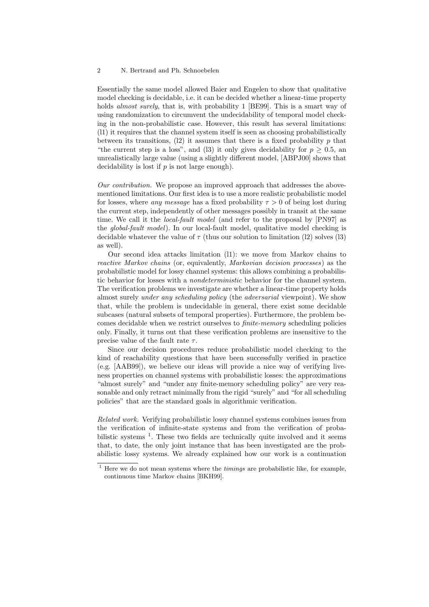Essentially the same model allowed Baier and Engelen to show that qualitative model checking is decidable, i.e. it can be decided whether a linear-time property holds *almost surely*, that is, with probability 1 [BE99]. This is a smart way of using randomization to circumvent the undecidability of temporal model checking in the non-probabilistic case. However, this result has several limitations: (l1) it requires that the channel system itself is seen as choosing probabilistically between its transitions,  $(12)$  it assumes that there is a fixed probability p that "the current step is a loss", and (13) it only gives decidability for  $p \geq 0.5$ , an unrealistically large value (using a slightly different model, [ABPJ00] shows that decidability is lost if  $p$  is not large enough).

Our contribution. We propose an improved approach that addresses the abovementioned limitations. Our first idea is to use a more realistic probabilistic model for losses, where any message has a fixed probability  $\tau > 0$  of being lost during the current step, independently of other messages possibly in transit at the same time. We call it the *local-fault model* (and refer to the proposal by [PN97] as the global-fault model). In our local-fault model, qualitative model checking is decidable whatever the value of  $\tau$  (thus our solution to limitation (12) solves (13) as well).

Our second idea attacks limitation (l1): we move from Markov chains to reactive Markov chains (or, equivalently, Markovian decision processes) as the probabilistic model for lossy channel systems: this allows combining a probabilistic behavior for losses with a nondeterministic behavior for the channel system. The verification problems we investigate are whether a linear-time property holds almost surely under any scheduling policy (the adversarial viewpoint). We show that, while the problem is undecidable in general, there exist some decidable subcases (natural subsets of temporal properties). Furthermore, the problem becomes decidable when we restrict ourselves to finite-memory scheduling policies only. Finally, it turns out that these verification problems are insensitive to the precise value of the fault rate  $\tau$ .

Since our decision procedures reduce probabilistic model checking to the kind of reachability questions that have been successfully verified in practice (e.g. [AAB99]), we believe our ideas will provide a nice way of verifying liveness properties on channel systems with probabilistic losses: the approximations "almost surely" and "under any finite-memory scheduling policy" are very reasonable and only retract minimally from the rigid "surely" and "for all scheduling policies" that are the standard goals in algorithmic verification.

Related work. Verifying probabilistic lossy channel systems combines issues from the verification of infinite-state systems and from the verification of probabilistic systems<sup>1</sup>. These two fields are technically quite involved and it seems that, to date, the only joint instance that has been investigated are the probabilistic lossy systems. We already explained how our work is a continuation

 $1$  Here we do not mean systems where the *timings* are probabilistic like, for example, continuous time Markov chains [BKH99].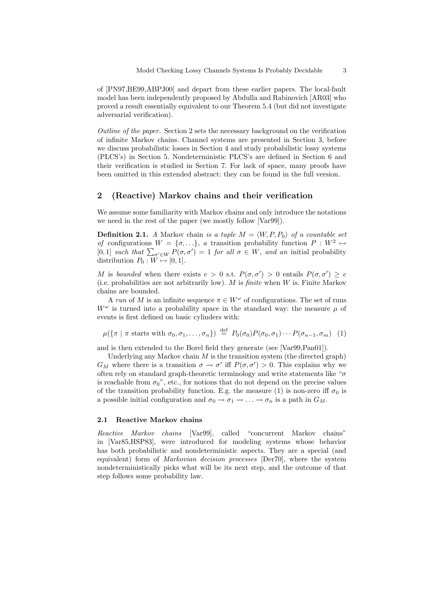of [PN97,BE99,ABPJ00] and depart from these earlier papers. The local-fault model has been independently proposed by Abdulla and Rabinovich [AR03] who proved a result essentially equivalent to our Theorem 5.4 (but did not investigate adversarial verification).

Outline of the paper. Section 2 sets the necessary background on the verification of infinite Markov chains. Channel systems are presented in Section 3, before we discuss probabilistic losses in Section 4 and study probabilistic lossy systems (PLCS's) in Section 5. Nondeterministic PLCS's are defined in Section 6 and their verification is studied in Section 7. For lack of space, many proofs have been omitted in this extended abstract: they can be found in the full version.

## 2 (Reactive) Markov chains and their verification

We assume some familiarity with Markov chains and only introduce the notations we need in the rest of the paper (we mostly follow [Var99]).

**Definition 2.1.** A Markov chain is a tuple  $M = \langle W, P, P_0 \rangle$  of a countable set of configurations  $W = \{\sigma, ...\}$ , a transition probability function  $P : W^2 \mapsto$ [0,1] such that  $\sum_{\sigma' \in W} P(\sigma, \sigma') = 1$  for all  $\sigma \in W$ , and an initial probability distribution  $P_0 : W \mapsto [0, 1].$ 

M is bounded when there exists  $e > 0$  s.t.  $P(\sigma, \sigma') > 0$  entails  $P(\sigma, \sigma') \geq e$ (i.e. probabilities are not arbitrarily low). M is *finite* when  $W$  is. Finite Markov chains are bounded.

A run of M is an infinite sequence  $\pi \in W^{\omega}$  of configurations. The set of runs  $W^{\omega}$  is turned into a probability space in the standard way: the measure  $\mu$  of events is first defined on basic cylinders with:

$$
\mu(\{\pi \mid \pi \text{ starts with } \sigma_0, \sigma_1, \dots, \sigma_n\}) \stackrel{\text{def}}{=} P_0(\sigma_0) P(\sigma_0, \sigma_1) \cdots P(\sigma_{n-1}, \sigma_m) \tag{1}
$$

and is then extended to the Borel field they generate (see [Var99,Pan01]).

Underlying any Markov chain  $M$  is the transition system (the directed graph)  $G_M$  where there is a transition  $\sigma \to \sigma'$  iff  $P(\sigma, \sigma') > 0$ . This explains why we often rely on standard graph-theoretic terminology and write statements like " $\sigma$ is reachable from  $\sigma_0$ ", etc., for notions that do not depend on the precise values of the transition probability function. E.g. the measure (1) is non-zero iff  $\sigma_0$  is a possible initial configuration and  $\sigma_0 \to \sigma_1 \to \ldots \to \sigma_n$  is a path in  $G_M$ .

#### 2.1 Reactive Markov chains

Reactive Markov chains [Var99], called "concurrent Markov chains" in [Var85,HSP83], were introduced for modeling systems whose behavior has both probabilistic and nondeterministic aspects. They are a special (and equivalent) form of *Markovian decision processes* [Der70], where the system nondeterministically picks what will be its next step, and the outcome of that step follows some probability law.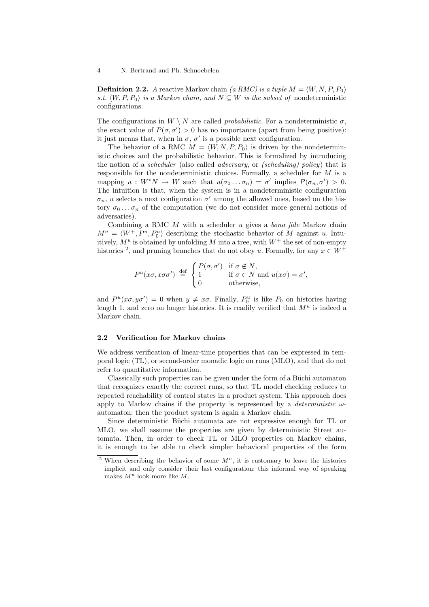**Definition 2.2.** A reactive Markov chain (a RMC) is a tuple  $M = \langle W, N, P, P_0 \rangle$ s.t.  $\langle W, P, P_0 \rangle$  is a Markov chain, and  $N \subseteq W$  is the subset of nondeterministic configurations.

The configurations in  $W \setminus N$  are called *probabilistic*. For a nondeterministic  $\sigma$ , the exact value of  $P(\sigma, \sigma') > 0$  has no importance (apart from being positive): it just means that, when in  $\sigma$ ,  $\sigma'$  is a possible next configuration.

The behavior of a RMC  $M = \langle W, N, P, P_0 \rangle$  is driven by the nondeterministic choices and the probabilistic behavior. This is formalized by introducing the notion of a scheduler (also called adversary, or (scheduling) policy) that is responsible for the nondeterministic choices. Formally, a scheduler for  $M$  is a mapping  $u: W^*N \to W$  such that  $u(\sigma_0 \dots \sigma_n) = \sigma'$  implies  $P(\sigma_n, \sigma') > 0$ . The intuition is that, when the system is in a nondeterministic configuration  $\sigma_n$ , u selects a next configuration  $\sigma'$  among the allowed ones, based on the history  $\sigma_0 \dots \sigma_n$  of the computation (we do not consider more general notions of adversaries).

Combining a RMC  $M$  with a scheduler  $u$  gives a *bona fide* Markov chain  $M^u = \langle W^+, P^u, P_0^u \rangle$  describing the stochastic behavior of M against u. Intuitively,  $M^u$  is obtained by unfolding M into a tree, with  $W^+$  the set of non-empty histories <sup>2</sup>, and pruning branches that do not obey u. Formally, for any  $x \in W^+$ 

$$
P^{u}(x\sigma, x\sigma\sigma') \stackrel{\text{def}}{=} \begin{cases} P(\sigma, \sigma') & \text{if } \sigma \notin N, \\ 1 & \text{if } \sigma \in N \text{ and } u(x\sigma) = \sigma', \\ 0 & \text{otherwise,} \end{cases}
$$

and  $P^u(x\sigma, y\sigma') = 0$  when  $y \neq x\sigma$ . Finally,  $P_0^u$  is like  $P_0$  on histories having length 1, and zero on longer histories. It is readily verified that  $M^u$  is indeed a Markov chain.

#### 2.2 Verification for Markov chains

We address verification of linear-time properties that can be expressed in temporal logic (TL), or second-order monadic logic on runs (MLO), and that do not refer to quantitative information.

Classically such properties can be given under the form of a Büchi automaton that recognizes exactly the correct runs, so that TL model checking reduces to repeated reachability of control states in a product system. This approach does apply to Markov chains if the property is represented by a *deterministic*  $\omega$ automaton: then the product system is again a Markov chain.

Since deterministic Büchi automata are not expressive enough for TL or MLO, we shall assume the properties are given by deterministic Street automata. Then, in order to check TL or MLO properties on Markov chains, it is enough to be able to check simpler behavioral properties of the form

<sup>&</sup>lt;sup>2</sup> When describing the behavior of some  $M^u$ , it is customary to leave the histories implicit and only consider their last configuration: this informal way of speaking makes  $M^u$  look more like M.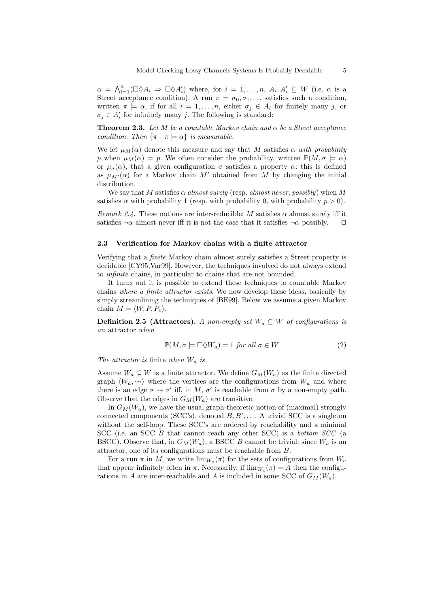$\alpha = \bigwedge_{i=1}^n (\Box \Diamond A_i \Rightarrow \Box \Diamond A'_i)$  where, for  $i = 1, ..., n$ ,  $A_i, A'_i \subseteq W$  (i.e.  $\alpha$  is a Street acceptance condition). A run  $\pi = \sigma_0, \sigma_1, \ldots$  satisfies such a condition, written  $\pi \models \alpha$ , if for all  $i = 1, \ldots, n$ , either  $\sigma_i \in A_i$  for finitely many j, or  $\sigma_j \in A_i'$  for infinitely many j. The following is standard:

**Theorem 2.3.** Let M be a countable Markov chain and  $\alpha$  be a Street acceptance condition. Then  $\{\pi \mid \pi \models \alpha\}$  is measurable.

We let  $\mu_M(\alpha)$  denote this measure and say that M satisfies  $\alpha$  with probability p when  $\mu_M(\alpha) = p$ . We often consider the probability, written  $\mathbb{P}(M, \sigma \models \alpha)$ or  $\mu_{\sigma}(\alpha)$ , that a given configuration  $\sigma$  satisfies a property  $\alpha$ : this is defined as  $\mu_{M'}(\alpha)$  for a Markov chain M' obtained from M by changing the initial distribution.

We say that M satisfies  $\alpha$  almost surely (resp. almost never, possibly) when M satisfies  $\alpha$  with probability 1 (resp. with probability 0, with probability  $p > 0$ ).

Remark 2.4. These notions are inter-reducible: M satisfies  $\alpha$  almost surely iff it satisfies  $\neg \alpha$  almost never iff it is not the case that it satisfies  $\neg \alpha$  possibly.  $\square$ 

#### 2.3 Verification for Markov chains with a finite attractor

Verifying that a finite Markov chain almost surely satisfies a Street property is decidable [CY95,Var99]. However, the techniques involved do not always extend to infinite chains, in particular to chains that are not bounded.

It turns out it is possible to extend these techniques to countable Markov chains where a finite attractor exists. We now develop these ideas, basically by simply streamlining the techniques of [BE99]. Below we assume a given Markov chain  $M = \langle W, P, P_0 \rangle$ .

**Definition 2.5 (Attractors).** A non-empty set  $W_a \subseteq W$  of configurations is an attractor when

$$
\mathbb{P}(M,\sigma\models\Box\Diamond W_a)=1 \text{ for all } \sigma\in W \tag{2}
$$

The attractor is finite when  $W_a$  is.

Assume  $W_a \subseteq W$  is a finite attractor. We define  $G_M(W_a)$  as the finite directed graph  $\langle W_a, \leadsto \rangle$  where the vertices are the configurations from  $W_a$  and where there is an edge  $\sigma \leadsto \sigma'$  iff, in M,  $\sigma'$  is reachable from  $\sigma$  by a non-empty path. Observe that the edges in  $G_M(W_a)$  are transitive.

In  $G_M(W_a)$ , we have the usual graph-theoretic notion of (maximal) strongly connected components (SCC's), denoted  $B, B', \ldots$ . A trivial SCC is a singleton without the self-loop. These SCC's are ordered by reachability and a minimal SCC (i.e. an SCC B that cannot reach any other SCC) is a bottom SCC (a BSCC). Observe that, in  $G_M(W_a)$ , a BSCC B cannot be trivial: since  $W_a$  is an attractor, one of its configurations must be reachable from B.

For a run  $\pi$  in M, we write  $\lim_{W_a}(\pi)$  for the sets of configurations from  $W_a$ that appear infinitely often in  $\pi$ . Necessarily, if  $\lim_{W_a}(\pi) = A$  then the configurations in A are inter-reachable and A is included in some SCC of  $G_M(W_a)$ .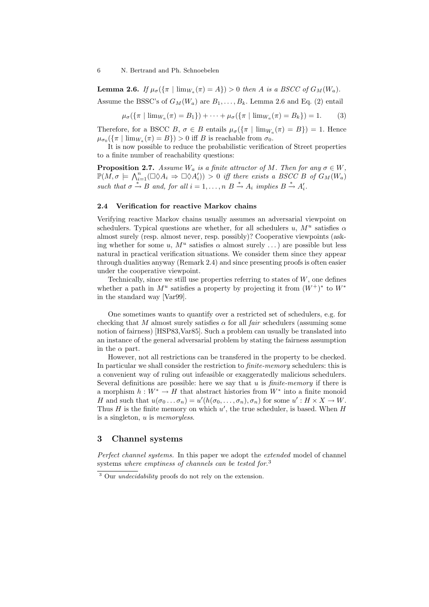**Lemma 2.6.** If  $\mu_{\sigma}(\{\pi \mid \lim_{W_a}(\pi) = A\}) > 0$  then A is a BSCC of  $G_M(W_a)$ . Assume the BSSC's of  $G_M(W_a)$  are  $B_1, \ldots, B_k$ . Lemma 2.6 and Eq. (2) entail

$$
\mu_{\sigma}(\{\pi \mid \lim_{W_a} (\pi) = B_1\}) + \dots + \mu_{\sigma}(\{\pi \mid \lim_{W_a} (\pi) = B_k\}) = 1. \tag{3}
$$

Therefore, for a BSCC  $B, \sigma \in B$  entails  $\mu_{\sigma}(\{\pi \mid \lim_{W_{\alpha}} (\pi) = B\}) = 1$ . Hence  $\mu_{\sigma_0}(\{\pi \mid \lim_{W_a} (\pi) = B\}) > 0$  iff B is reachable from  $\sigma_0$ .

It is now possible to reduce the probabilistic verification of Street properties to a finite number of reachability questions:

**Proposition 2.7.** Assume  $W_a$  is a finite attractor of M. Then for any  $\sigma \in W$ ,  $\mathbb{P}(M, \sigma \models \bigwedge_{i=1}^{n} (\Box \Diamond A_i \Rightarrow \Box \Diamond A'_i)) > 0$  iff there exists a BSCC B of  $G_M(W_a)$ such that  $\sigma \stackrel{*}{\to} B$  and, for all  $i = 1, ..., n$   $B \stackrel{*}{\to} A_i$  implies  $B \stackrel{*}{\to} A'_i$ .

### 2.4 Verification for reactive Markov chains

Verifying reactive Markov chains usually assumes an adversarial viewpoint on schedulers. Typical questions are whether, for all schedulers u,  $M^u$  satisfies  $\alpha$ almost surely (resp. almost never, resp. possibly)? Cooperative viewpoints (asking whether for some u,  $M^u$  satisfies  $\alpha$  almost surely ...) are possible but less natural in practical verification situations. We consider them since they appear through dualities anyway (Remark 2.4) and since presenting proofs is often easier under the cooperative viewpoint.

Technically, since we still use properties referring to states of  $W$ , one defines whether a path in  $M^u$  satisfies a property by projecting it from  $(W^+)^*$  to  $W^*$ in the standard way [Var99].

One sometimes wants to quantify over a restricted set of schedulers, e.g. for checking that M almost surely satisfies  $\alpha$  for all *fair* schedulers (assuming some notion of fairness) [HSP83,Var85]. Such a problem can usually be translated into an instance of the general adversarial problem by stating the fairness assumption in the  $\alpha$  part.

However, not all restrictions can be transfered in the property to be checked. In particular we shall consider the restriction to *finite-memory* schedulers: this is a convenient way of ruling out infeasible or exaggeratedly malicious schedulers. Several definitions are possible: here we say that  $u$  is *finite-memory* if there is a morphism  $h: W^* \to H$  that abstract histories from  $W^*$  into a finite monoid H and such that  $u(\sigma_0 \dots \sigma_n) = u'(h(\sigma_0, \dots, \sigma_n), \sigma_n)$  for some  $u' : H \times X \to W$ . Thus  $H$  is the finite memory on which  $u'$ , the true scheduler, is based. When  $H$ is a singleton,  $u$  is *memoryless*.

## 3 Channel systems

Perfect channel systems. In this paper we adopt the extended model of channel systems where emptiness of channels can be tested for.<sup>3</sup>

<sup>3</sup> Our undecidability proofs do not rely on the extension.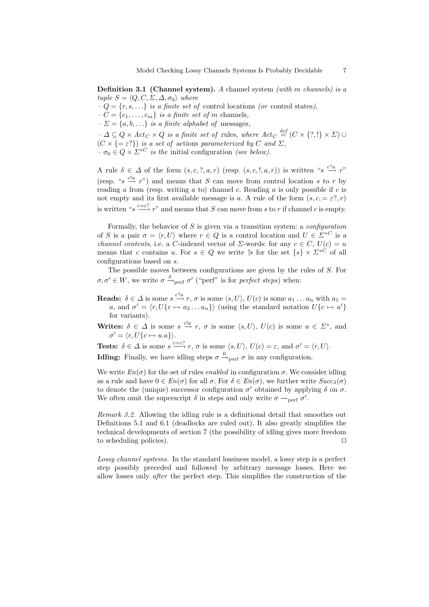**Definition 3.1 (Channel system).** A channel system *(with m channels) is a* tuple  $S = \langle Q, C, \Sigma, \Delta, \sigma_0 \rangle$  where

 $-Q = {r, s, \dots}$  is a finite set of control locations (or control states),

 $-C = \{c_1, \ldots, c_m\}$  is a finite set of m channels,

 $-\Sigma = \{a, b, \ldots\}$  is a finite alphabet of messages,

 $-\Delta \subseteq Q \times \text{Act}_C \times Q$  is a finite set of rules, where  $\text{Act}_C \stackrel{\text{def}}{=} (C \times \{?, !\} \times \Sigma) \cup Q$  $(C \times \{=\varepsilon\})$  is a set of actions parameterized by C and  $\Sigma$ ,  $-\sigma_0 \in Q \times \Sigma^{*C}$  is the initial configuration (see below).

A rule  $\delta \in \Delta$  of the form  $(s, c, ', a, r)$  (resp.  $(s, c, ', a, r)$ ) is written " $s \stackrel{c?a}{\longrightarrow} r$ " (resp. " $s \stackrel{cla}{\rightarrow} r$ ") and means that S can move from control location s to r by reading a from (resp. writing a to) channel c. Reading a is only possible if c is not empty and its first available message is a. A rule of the form  $(s, c, = \varepsilon, r)$ is written " $s \stackrel{c=\varepsilon?}{\longrightarrow} r$ " and means that S can move from s to r if channel c is empty.

Formally, the behavior of  $S$  is given via a transition system: a *configuration* of S is a pair  $\sigma = \langle r, U \rangle$  where  $r \in Q$  is a control location and  $U \in \Sigma^{*C}$  is a channel contents, i.e. a C-indexed vector of  $\Sigma$ -words: for any  $c \in C$ ,  $U(c) = u$ means that c contains u. For  $s \in Q$  we write  $\uparrow s$  for the set  $\{s\} \times \Sigma^{*C}$  of all configurations based on s.

The possible moves between configurations are given by the rules of S. For  $\sigma, \sigma' \in W$ , we write  $\sigma \stackrel{\delta}{\rightarrow}_{\text{perf}} \sigma'$  ("perf" is for *perfect steps*) when:

**Reads:**  $\delta \in \Delta$  is some  $s \stackrel{c?a}{\longrightarrow} r$ ,  $\sigma$  is some  $\langle s, U \rangle$ ,  $U(c)$  is some  $a_1 \dots a_n$  with  $a_1 =$ a, and  $\sigma' = \langle r, U\{c \mapsto a_2 \dots a_n\}\rangle$  (using the standard notation  $U\{c \mapsto u'\}$ for variants).

Writes:  $\delta \in \Delta$  is some  $s \stackrel{cla}{\to} r$ ,  $\sigma$  is some  $\langle s, U \rangle$ ,  $U(c)$  is some  $u \in \Sigma^*$ , and  $\sigma' = \langle r, U\{c \mapsto u.a\}\rangle.$ 

**Tests:**  $\delta \in \Delta$  is some  $s \xrightarrow{c=\varepsilon} r$ ,  $\sigma$  is some  $\langle s, U \rangle$ ,  $U(c) = \varepsilon$ , and  $\sigma' = \langle r, U \rangle$ .

**Idling:** Finally, we have idling steps  $\sigma \stackrel{0}{\rightarrow}_{\text{perf}} \sigma$  in any configuration.

We write  $En(\sigma)$  for the set of rules *enabled* in configuration  $\sigma$ . We consider idling as a rule and have  $0 \in En(\sigma)$  for all  $\sigma$ . For  $\delta \in En(\sigma)$ , we further write  $Succ_{\delta}(\sigma)$ to denote the (unique) successor configuration  $\sigma'$  obtained by applying  $\delta$  on  $\sigma$ . We often omit the superscript  $\delta$  in steps and only write  $\sigma \rightarrow_{\text{perf}} \sigma'$ .

Remark 3.2. Allowing the idling rule is a definitional detail that smoothes out Definitions 5.1 and 6.1 (deadlocks are ruled out). It also greatly simplifies the technical developments of section 7 (the possibility of idling gives more freedom to scheduling policies).  $\Box$ 

Lossy channel systems. In the standard lossiness model, a lossy step is a perfect step possibly preceded and followed by arbitrary message losses. Here we allow losses only after the perfect step. This simplifies the construction of the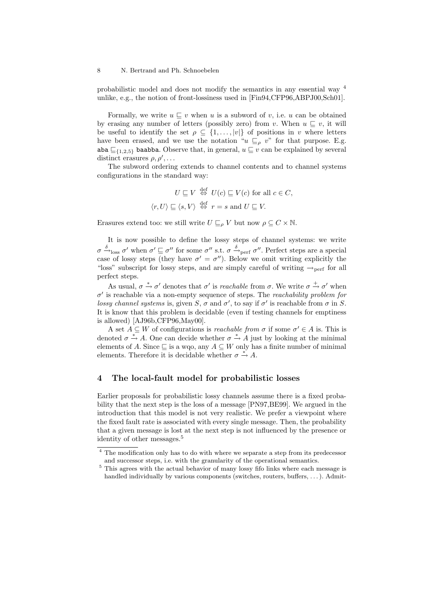probabilistic model and does not modify the semantics in any essential way 4 unlike, e.g., the notion of front-lossiness used in [Fin94,CFP96,ABPJ00,Sch01].

Formally, we write  $u \sqsubset v$  when u is a subword of v, i.e. u can be obtained by erasing any number of letters (possibly zero) from v. When  $u \sqsubset v$ , it will be useful to identify the set  $\rho \subseteq \{1, \ldots, |v|\}$  of positions in v where letters have been erased, and we use the notation " $u \subseteq \rho v$ " for that purpose. E.g. aba  $\sqsubseteq$ {1,2,5} baabba. Observe that, in general,  $u \sqsubseteq v$  can be explained by several distinct erasures  $\rho, \rho', \ldots$ 

The subword ordering extends to channel contents and to channel systems configurations in the standard way:

$$
U \sqsubseteq V \stackrel{\text{def}}{\Leftrightarrow} U(c) \sqsubseteq V(c) \text{ for all } c \in C,
$$
  

$$
\langle r, U \rangle \sqsubseteq \langle s, V \rangle \stackrel{\text{def}}{\Leftrightarrow} r = s \text{ and } U \sqsubseteq V.
$$

Erasures extend too: we still write  $U \sqsubseteq_o V$  but now  $\rho \subseteq C \times \mathbb{N}$ .

It is now possible to define the lossy steps of channel systems: we write  $\sigma \xrightarrow{\delta}$ <sub>loss</sub>  $\sigma'$  when  $\sigma' \sqsubseteq \sigma''$  for some  $\sigma''$  s.t.  $\sigma \xrightarrow{\delta}$ <sub>perf</sub>  $\sigma''$ . Perfect steps are a special case of lossy steps (they have  $\sigma' = \sigma''$ ). Below we omit writing explicitly the "loss" subscript for lossy steps, and are simply careful of writing  $\rightarrow$  perf for all perfect steps.

As usual,  $\sigma \stackrel{*}{\rightarrow} \sigma'$  denotes that  $\sigma'$  is *reachable* from  $\sigma$ . We write  $\sigma \stackrel{+}{\rightarrow} \sigma'$  when  $\sigma'$  is reachable via a non-empty sequence of steps. The *reachability problem for* lossy channel systems is, given S,  $\sigma$  and  $\sigma'$ , to say if  $\sigma'$  is reachable from  $\sigma$  in S. It is know that this problem is decidable (even if testing channels for emptiness is allowed) [AJ96b,CFP96,May00].

A set  $A \subseteq W$  of configurations is *reachable from*  $\sigma$  if some  $\sigma' \in A$  is. This is denoted  $\sigma \stackrel{*}{\rightarrow} A$ . One can decide whether  $\sigma \stackrel{*}{\rightarrow} A$  just by looking at the minimal elements of A. Since  $\sqsubseteq$  is a wqo, any  $A \subseteq W$  only has a finite number of minimal elements. Therefore it is decidable whether  $\sigma \stackrel{*}{\rightarrow} A$ .

## 4 The local-fault model for probabilistic losses

Earlier proposals for probabilistic lossy channels assume there is a fixed probability that the next step is the loss of a message [PN97,BE99]. We argued in the introduction that this model is not very realistic. We prefer a viewpoint where the fixed fault rate is associated with every single message. Then, the probability that a given message is lost at the next step is not influenced by the presence or identity of other messages.<sup>5</sup>

<sup>4</sup> The modification only has to do with where we separate a step from its predecessor and successor steps, i.e. with the granularity of the operational semantics.

 $^5$  This agrees with the actual behavior of many lossy fifo links where each message is handled individually by various components (switches, routers, buffers, . . .). Admit-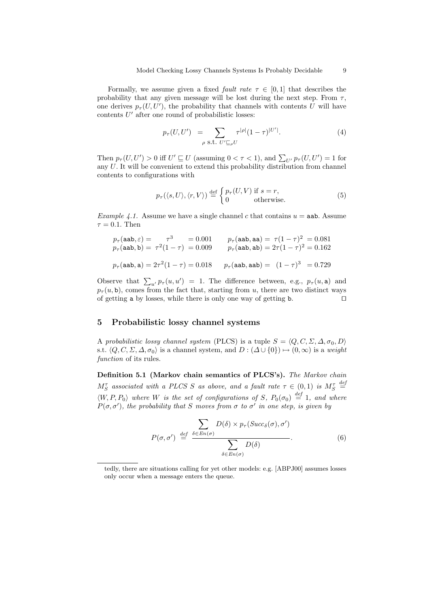Formally, we assume given a fixed *fault rate*  $\tau \in [0,1]$  that describes the probability that any given message will be lost during the next step. From  $\tau$ , one derives  $p_{\tau}(U, U')$ , the probability that channels with contents U will have contents  $U'$  after one round of probabilistic losses:

$$
p_{\tau}(U, U') = \sum_{\rho \text{ s.t. } U' \sqsubseteq_{\rho} U} \tau^{|\rho|} (1 - \tau)^{|U'|}. \tag{4}
$$

Then  $p_{\tau}(U, U') > 0$  iff  $U' \sqsubseteq U$  (assuming  $0 < \tau < 1$ ), and  $\sum_{U'} p_{\tau}(U, U') = 1$  for any U. It will be convenient to extend this probability distribution from channel contents to configurations with

$$
p_{\tau}(\langle s, U \rangle, \langle r, V \rangle) \stackrel{\text{def}}{=} \begin{cases} p_{\tau}(U, V) \text{ if } s = r, \\ 0 \text{ otherwise.} \end{cases}
$$
 (5)

*Example 4.1.* Assume we have a single channel c that contains  $u = aab$ . Assume  $\tau = 0.1$ . Then

$$
p_{\tau}(\text{aab}, \varepsilon) = \tau^3 = 0.001 \qquad p_{\tau}(\text{aab}, \text{aa}) = \tau(1 - \tau)^2 = 0.081
$$
  
\n
$$
p_{\tau}(\text{aab}, \text{b}) = \tau^2(1 - \tau) = 0.009 \qquad p_{\tau}(\text{aab}, \text{ab}) = 2\tau(1 - \tau)^2 = 0.162
$$
  
\n
$$
p_{\tau}(\text{aab}, \text{a}) = 2\tau^2(1 - \tau) = 0.018 \qquad p_{\tau}(\text{aab}, \text{aab}) = (1 - \tau)^3 = 0.729
$$

Observe that  $\sum_{u'} p_{\tau}(u, u') = 1$ . The difference between, e.g.,  $p_{\tau}(u, a)$  and  $p_{\tau}(u, \mathbf{b})$ , comes from the fact that, starting from u, there are two distinct ways of getting a by losses, while there is only one way of getting **b**.  $\Box$ 

## 5 Probabilistic lossy channel systems

A probabilistic lossy channel system (PLCS) is a tuple  $S = \langle Q, C, \Sigma, \Delta, \sigma_0, D \rangle$ s.t.  $\langle Q, C, \Sigma, \Delta, \sigma_0 \rangle$  is a channel system, and  $D : (\Delta \cup \{0\}) \mapsto (0, \infty)$  is a weight function of its rules.

Definition 5.1 (Markov chain semantics of PLCS's). The Markov chain  $M_S^{\tau}$  associated with a PLCS S as above, and a fault rate  $\tau \in (0,1)$  is  $M_S^{\tau}$  $\stackrel{def}{=}$  $\langle W, P, P_0 \rangle$  where W is the set of configurations of S,  $P_0(\sigma_0) \stackrel{def}{=} 1$ , and where  $P(\sigma, \sigma')$ , the probability that S moves from  $\sigma$  to  $\sigma'$  in one step, is given by

$$
P(\sigma, \sigma') \stackrel{\text{def}}{=} \frac{\sum_{\delta \in En(\sigma)} D(\delta) \times p_{\tau}(Succ_{\delta}(\sigma), \sigma')}{\sum_{\delta \in En(\sigma)} D(\delta)}.
$$
 (6)

tedly, there are situations calling for yet other models: e.g. [ABPJ00] assumes losses only occur when a message enters the queue.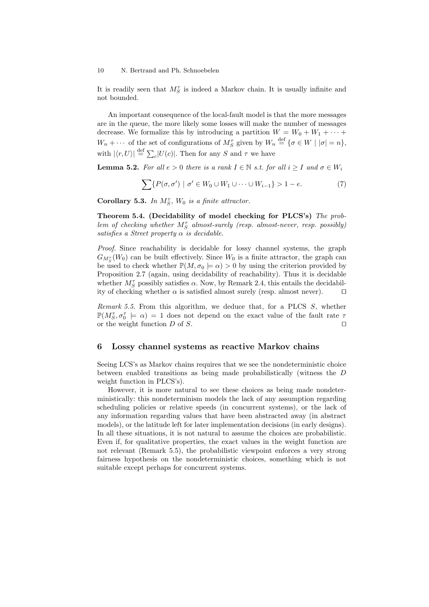It is readily seen that  $M_S^{\tau}$  is indeed a Markov chain. It is usually infinite and not bounded.

An important consequence of the local-fault model is that the more messages are in the queue, the more likely some losses will make the number of messages decrease. We formalize this by introducing a partition  $W = W_0 + W_1 + \cdots$  $W_n + \cdots$  of the set of configurations of  $M_S^{\tau}$  given by  $W_n \stackrel{\text{def}}{=} {\{\sigma \in W \mid |\sigma| = n\}},$ with  $|\langle r, U \rangle| \stackrel{\text{def}}{=} \sum_{c} |U(c)|$ . Then for any S and  $\tau$  we have

**Lemma 5.2.** For all  $e > 0$  there is a rank  $I \in \mathbb{N}$  s.t. for all  $i \geq I$  and  $\sigma \in W_i$ 

$$
\sum \{ P(\sigma, \sigma') \mid \sigma' \in W_0 \cup W_1 \cup \dots \cup W_{i-1} \} > 1 - e. \tag{7}
$$

Corollary 5.3. In  $M_S^{\tau}$ ,  $W_0$  is a finite attractor.

Theorem 5.4. (Decidability of model checking for PLCS's) The problem of checking whether  $M_S^{\tau}$  almost-surely (resp. almost-never, resp. possibly) satisfies a Street property  $\alpha$  is decidable.

Proof. Since reachability is decidable for lossy channel systems, the graph  $G_{M_S^{\tau}}(W_0)$  can be built effectively. Since  $W_0$  is a finite attractor, the graph can be used to check whether  $\mathbb{P}(M, \sigma_0 \models \alpha) > 0$  by using the criterion provided by Proposition 2.7 (again, using decidability of reachability). Thus it is decidable whether  $M_S^{\tau}$  possibly satisfies  $\alpha$ . Now, by Remark 2.4, this entails the decidability of checking whether  $\alpha$  is satisfied almost surely (resp. almost never).  $\Box$ 

Remark 5.5. From this algorithm, we deduce that, for a PLCS S, whether  $\mathbb{P}(M_5^{\tau}, \sigma_0^{\tau} \models \alpha) = 1$  does not depend on the exact value of the fault rate  $\tau$ or the weight function D of S.

## 6 Lossy channel systems as reactive Markov chains

Seeing LCS's as Markov chains requires that we see the nondeterministic choice between enabled transitions as being made probabilistically (witness the D weight function in PLCS's).

However, it is more natural to see these choices as being made nondeterministically: this nondeterminism models the lack of any assumption regarding scheduling policies or relative speeds (in concurrent systems), or the lack of any information regarding values that have been abstracted away (in abstract models), or the latitude left for later implementation decisions (in early designs). In all these situations, it is not natural to assume the choices are probabilistic. Even if, for qualitative properties, the exact values in the weight function are not relevant (Remark 5.5), the probabilistic viewpoint enforces a very strong fairness hypothesis on the nondeterministic choices, something which is not suitable except perhaps for concurrent systems.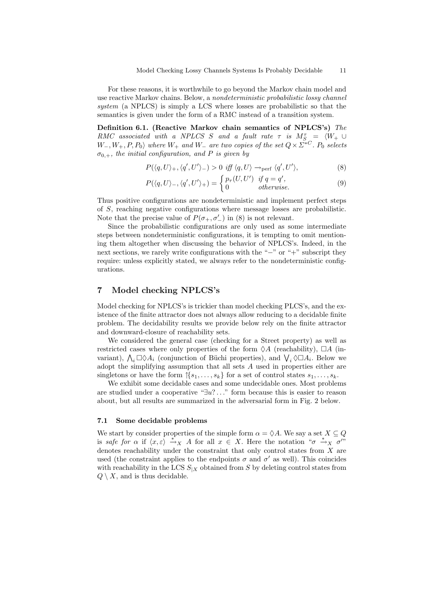For these reasons, it is worthwhile to go beyond the Markov chain model and use reactive Markov chains. Below, a nondeterministic probabilistic lossy channel system (a NPLCS) is simply a LCS where losses are probabilistic so that the semantics is given under the form of a RMC instead of a transition system.

Definition 6.1. (Reactive Markov chain semantics of NPLCS's) The RMC associated with a NPLCS S and a fault rate  $\tau$  is  $M_{S}^{\tau} = \langle W_+ \cup$  $W_-, W_+, P, P_0$  where  $W_+$  and  $W_-$  are two copies of the set  $Q \times \overline{\mathcal{Q}}^* C$ .  $P_0$  selects  $\sigma_{0,+}$ , the initial configuration, and P is given by

$$
P(\langle q, U \rangle_+, \langle q', U' \rangle_-) > 0 \text{ iff } \langle q, U \rangle \to_{\text{perf}} \langle q', U' \rangle,
$$
 (8)

$$
P(\langle q, U \rangle_{-}, \langle q', U' \rangle_{+}) = \begin{cases} p_{\tau}(U, U') & \text{if } q = q', \\ 0 & \text{otherwise.} \end{cases}
$$
 (9)

Thus positive configurations are nondeterministic and implement perfect steps of S, reaching negative configurations where message losses are probabilistic. Note that the precise value of  $P(\sigma_+, \sigma_-')$  in (8) is not relevant.

Since the probabilistic configurations are only used as some intermediate steps between nondeterministic configurations, it is tempting to omit mentioning them altogether when discussing the behavior of NPLCS's. Indeed, in the next sections, we rarely write configurations with the "−" or "+" subscript they require: unless explicitly stated, we always refer to the nondeterministic configurations.

## 7 Model checking NPLCS's

Model checking for NPLCS's is trickier than model checking PLCS's, and the existence of the finite attractor does not always allow reducing to a decidable finite problem. The decidability results we provide below rely on the finite attractor and downward-closure of reachability sets.

We considered the general case (checking for a Street property) as well as restricted cases where only properties of the form  $\Diamond A$  (reachability),  $\Box A$  (invariant),  $\bigwedge_i \Box \Diamond A_i$  (conjunction of Büchi properties), and  $\bigvee_i \Diamond \Box A_i$ . Below we adopt the simplifying assumption that all sets A used in properties either are singletons or have the form  $\{s_1, \ldots, s_k\}$  for a set of control states  $s_1, \ldots, s_k$ .

We exhibit some decidable cases and some undecidable ones. Most problems are studied under a cooperative "∃u? . . ." form because this is easier to reason about, but all results are summarized in the adversarial form in Fig. 2 below.

## 7.1 Some decidable problems

We start by consider properties of the simple form  $\alpha = \Diamond A$ . We say a set  $X \subseteq Q$ is safe for  $\alpha$  if  $\langle x, \varepsilon \rangle \stackrel{*}{\to} X$  A for all  $x \in X$ . Here the notation " $\sigma \stackrel{*}{\to} X \stackrel{\sigma}{\sigma}$ " denotes reachability under the constraint that only control states from X are used (the constraint applies to the endpoints  $\sigma$  and  $\sigma'$  as well). This coincides with reachability in the LCS  $S_{X}$  obtained from S by deleting control states from  $Q \setminus X$ , and is thus decidable.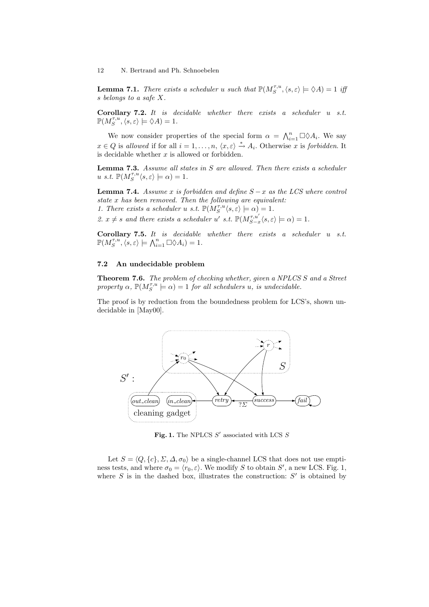**Lemma 7.1.** There exists a scheduler u such that  $\mathbb{P}(M_S^{\tau,u}, \langle s, \varepsilon \rangle \models \Diamond A) = 1$  iff s belongs to a safe X.

**Corollary 7.2.** It is decidable whether there exists a scheduler  $u$  s.t.  $\mathbb{P}(M_S^{\tau,u}, \langle s, \varepsilon \rangle \models \Diamond A) = 1.$ 

We now consider properties of the special form  $\alpha = \bigwedge_{i=1}^{n} \Box \Diamond A_i$ . We say  $x \in Q$  is allowed if for all  $i = 1, \ldots, n, \langle x, \varepsilon \rangle \stackrel{*}{\rightarrow} A_i$ . Otherwise x is forbidden. It is decidable whether  $x$  is allowed or forbidden.

**Lemma 7.3.** Assume all states in S are allowed. Then there exists a scheduler u s.t.  $\mathbb{P}(M_S^{\tau,u}\langle s,\varepsilon\rangle \models \alpha) = 1.$ 

**Lemma 7.4.** Assume x is forbidden and define  $S - x$  as the LCS where control state x has been removed. Then the following are equivalent: 1. There exists a scheduler u s.t.  $\mathbb{P}(M_S^{\tau,u} \langle s, \varepsilon \rangle \models \alpha) = 1$ .

2.  $x \neq s$  and there exists a scheduler u' s.t.  $\mathbb{P}(M_{S-x}^{\tau,u'}\langle s,\varepsilon \rangle \models \alpha) = 1$ .

**Corollary 7.5.** It is decidable whether there exists a scheduler  $u$  s.t.  $\mathbb{P}(M_S^{\tau,u}, \langle s, \varepsilon \rangle \models \bigwedge_{i=1}^n \Box \Diamond A_i) = 1.$ 

#### 7.2 An undecidable problem

Theorem 7.6. The problem of checking whether, given a NPLCS S and a Street property  $\alpha$ ,  $\mathbb{P}(M_S^{\tau,u} \models \alpha) = 1$  for all schedulers u, is undecidable.

The proof is by reduction from the boundedness problem for LCS's, shown undecidable in [May00].



Fig. 1. The NPLCS  $S'$  associated with LCS  $S$ 

Let  $S = \langle Q, \{c\}, \Sigma, \Delta, \sigma_0 \rangle$  be a single-channel LCS that does not use emptiness tests, and where  $\sigma_0 = \langle r_0, \varepsilon \rangle$ . We modify S to obtain S', a new LCS. Fig. 1, where  $S$  is in the dashed box, illustrates the construction:  $S'$  is obtained by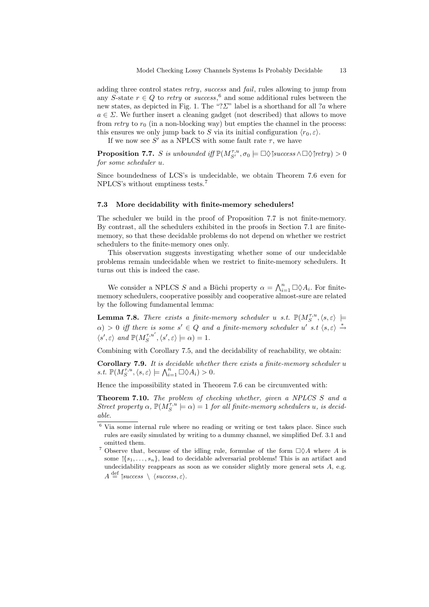adding three control states retry, success and fail, rules allowing to jump from any S-state  $r \in Q$  to retry or success,<sup>6</sup> and some additional rules between the new states, as depicted in Fig. 1. The "? $\Sigma$ " label is a shorthand for all ?a where  $a \in \Sigma$ . We further insert a cleaning gadget (not described) that allows to move from retry to  $r_0$  (in a non-blocking way) but empties the channel in the process: this ensures we only jump back to S via its initial configuration  $\langle r_0, \varepsilon \rangle$ .

If we now see S' as a NPLCS with some fault rate  $\tau$ , we have

**Proposition 7.7.** S is unbounded iff  $\mathbb{P}(M_{S'}^{\tau,u}, \sigma_0 \models \Box \Diamond \exists \text{success} \land \Box \Diamond \exists \text{very}) > 0$ for some scheduler u.

Since boundedness of LCS's is undecidable, we obtain Theorem 7.6 even for NPLCS's without emptiness tests.<sup>7</sup>

#### 7.3 More decidability with finite-memory schedulers!

The scheduler we build in the proof of Proposition 7.7 is not finite-memory. By contrast, all the schedulers exhibited in the proofs in Section 7.1 are finitememory, so that these decidable problems do not depend on whether we restrict schedulers to the finite-memory ones only.

This observation suggests investigating whether some of our undecidable problems remain undecidable when we restrict to finite-memory schedulers. It turns out this is indeed the case.

We consider a NPLCS S and a Büchi property  $\alpha = \bigwedge_{i=1}^{n} \Box \Diamond A_i$ . For finitememory schedulers, cooperative possibly and cooperative almost-sure are related by the following fundamental lemma:

**Lemma 7.8.** There exists a finite-memory scheduler u s.t.  $\mathbb{P}(M_S^{\tau,u}, \langle s, \varepsilon \rangle \models$  $\alpha$ ) > 0 iff there is some s'  $\in Q$  and a finite-memory scheduler u' s.t  $\langle s, \varepsilon \rangle \stackrel{*}{\rightarrow}$  $\langle s', \varepsilon \rangle$  and  $\mathbb{P}(M_S^{\tau, u'}, \langle s', \varepsilon \rangle \models \alpha) = 1.$ 

Combining with Corollary 7.5, and the decidability of reachability, we obtain:

Corollary 7.9. It is decidable whether there exists a finite-memory scheduler u s.t.  $\mathbb{P}(M_S^{\tau,u}, \langle s, \varepsilon \rangle \models \bigwedge_{i=1}^n \Box \Diamond A_i) > 0.$ 

Hence the impossibility stated in Theorem 7.6 can be circumvented with:

Theorem 7.10. The problem of checking whether, given a NPLCS S and a Street property  $\alpha$ ,  $\mathbb{P}(M_S^{\tau,u} \models \alpha) = 1$  for all finite-memory schedulers u, is decidable.

 $6$  Via some internal rule where no reading or writing or test takes place. Since such rules are easily simulated by writing to a dummy channel, we simplified Def. 3.1 and omitted them.

<sup>&</sup>lt;sup>7</sup> Observe that, because of the idling rule, formulae of the form  $\Box \Diamond A$  where A is some  $\{\{s_1, \ldots, s_n\}$ , lead to decidable adversarial problems! This is an artifact and undecidability reappears as soon as we consider slightly more general sets A, e.g.

 $A \stackrel{\text{def}}{=} \uparrow success \setminus \langle success, \varepsilon \rangle$ .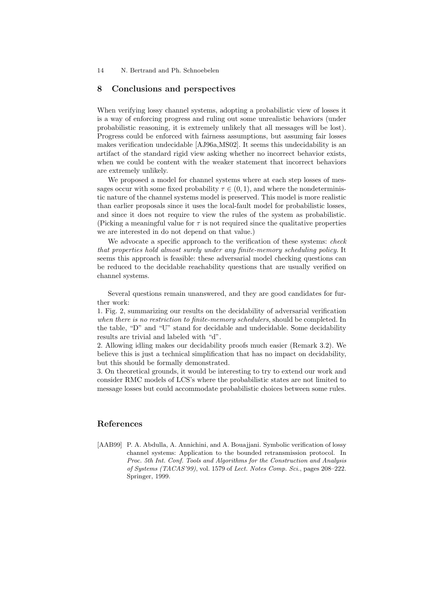## 8 Conclusions and perspectives

When verifying lossy channel systems, adopting a probabilistic view of losses it is a way of enforcing progress and ruling out some unrealistic behaviors (under probabilistic reasoning, it is extremely unlikely that all messages will be lost). Progress could be enforced with fairness assumptions, but assuming fair losses makes verification undecidable [AJ96a,MS02]. It seems this undecidability is an artifact of the standard rigid view asking whether no incorrect behavior exists, when we could be content with the weaker statement that incorrect behaviors are extremely unlikely.

We proposed a model for channel systems where at each step losses of messages occur with some fixed probability  $\tau \in (0,1)$ , and where the nondeterministic nature of the channel systems model is preserved. This model is more realistic than earlier proposals since it uses the local-fault model for probabilistic losses, and since it does not require to view the rules of the system as probabilistic. (Picking a meaningful value for  $\tau$  is not required since the qualitative properties we are interested in do not depend on that value.)

We advocate a specific approach to the verification of these systems: *check* that properties hold almost surely under any finite-memory scheduling policy. It seems this approach is feasible: these adversarial model checking questions can be reduced to the decidable reachability questions that are usually verified on channel systems.

Several questions remain unanswered, and they are good candidates for further work:

1. Fig. 2, summarizing our results on the decidability of adversarial verification when there is no restriction to finite-memory schedulers, should be completed. In the table, "D" and "U" stand for decidable and undecidable. Some decidability results are trivial and labeled with "d".

2. Allowing idling makes our decidability proofs much easier (Remark 3.2). We believe this is just a technical simplification that has no impact on decidability, but this should be formally demonstrated.

3. On theoretical grounds, it would be interesting to try to extend our work and consider RMC models of LCS's where the probabilistic states are not limited to message losses but could accommodate probabilistic choices between some rules.

# References

[AAB99] P. A. Abdulla, A. Annichini, and A. Bouajjani. Symbolic verification of lossy channel systems: Application to the bounded retransmission protocol. In Proc. 5th Int. Conf. Tools and Algorithms for the Construction and Analysis of Systems (TACAS'99), vol. 1579 of Lect. Notes Comp. Sci., pages 208–222. Springer, 1999.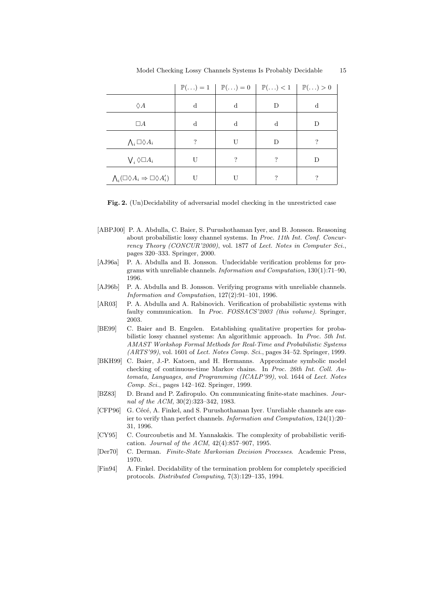|                                                              |    |    | $\mathbb{P}(\ldots) = 1 \mid \mathbb{P}(\ldots) = 0 \mid \mathbb{P}(\ldots) < 1 \mid \mathbb{P}(\ldots) > 0$ |   |
|--------------------------------------------------------------|----|----|--------------------------------------------------------------------------------------------------------------|---|
| $\Diamond A$                                                 | d  | d  | Ð                                                                                                            | d |
| $\Box A$                                                     | d  | d  | d                                                                                                            | D |
| $\bigwedge_i \Box \Diamond A_i$                              | ?  | U  | D                                                                                                            | ? |
| $\bigvee_i \Diamond \Box A_i$                                | TΤ | ?  | 2                                                                                                            | D |
| $\bigwedge_i(\Box\Diamond A_i\Rightarrow \Box\Diamond A'_i)$ | T٢ | ΤI | ?                                                                                                            | ? |

Fig. 2. (Un)Decidability of adversarial model checking in the unrestricted case

- [ABPJ00] P. A. Abdulla, C. Baier, S. Purushothaman Iyer, and B. Jonsson. Reasoning about probabilistic lossy channel systems. In Proc. 11th Int. Conf. Concurrency Theory (CONCUR'2000), vol. 1877 of Lect. Notes in Computer Sci., pages 320–333. Springer, 2000.
- [AJ96a] P. A. Abdulla and B. Jonsson. Undecidable verification problems for programs with unreliable channels. Information and Computation, 130(1):71–90, 1996.
- [AJ96b] P. A. Abdulla and B. Jonsson. Verifying programs with unreliable channels. Information and Computation, 127(2):91–101, 1996.
- [AR03] P. A. Abdulla and A. Rabinovich. Verification of probabilistic systems with faulty communication. In Proc. FOSSACS'2003 (this volume). Springer, 2003.
- [BE99] C. Baier and B. Engelen. Establishing qualitative properties for probabilistic lossy channel systems: An algorithmic approach. In Proc. 5th Int. AMAST Workshop Formal Methods for Real-Time and Probabilistic Systems (ARTS'99), vol. 1601 of Lect. Notes Comp. Sci., pages 34–52. Springer, 1999.
- [BKH99] C. Baier, J.-P. Katoen, and H. Hermanns. Approximate symbolic model checking of continuous-time Markov chains. In Proc. 26th Int. Coll. Automata, Languages, and Programming (ICALP'99), vol. 1644 of Lect. Notes Comp. Sci., pages 142–162. Springer, 1999.
- [BZ83] D. Brand and P. Zafiropulo. On communicating finite-state machines. Journal of the ACM, 30(2):323–342, 1983.
- [CFP96] G. Cécé, A. Finkel, and S. Purushothaman Iyer. Unreliable channels are easier to verify than perfect channels. Information and Computation, 124(1):20– 31, 1996.
- [CY95] C. Courcoubetis and M. Yannakakis. The complexity of probabilistic verification. Journal of the ACM, 42(4):857–907, 1995.
- [Der70] C. Derman. Finite-State Markovian Decision Processes. Academic Press, 1970.
- [Fin94] A. Finkel. Decidability of the termination problem for completely specificied protocols. Distributed Computing, 7(3):129–135, 1994.